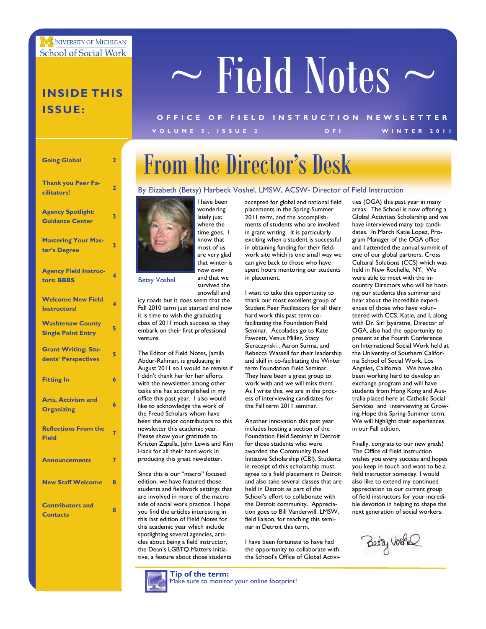UNIVERSITY OF MICHIGAN **School of Social Work** 

**INSIDE THIS ISSUE:** 

# $\sim$  Field Notes  $\sim$

#### **VOLUME 5, ISSUE 2 OFI WINTER 2011 OFFICE OF FIELD INST RUCTION NEWSLETTER**

| <b>Going Global</b>                                  | 2              |  |
|------------------------------------------------------|----------------|--|
| <b>Thank you Peer Fa-</b><br>cilitators!             | $\overline{2}$ |  |
| <b>Agency Spotlight:</b><br><b>Guidance Center</b>   | 3              |  |
| <b>Mastering Your Mas-</b><br>ter's Degree           | 3              |  |
| <b>Agency Field Instruc-</b><br>tors: BBBS           | 4              |  |
| <b>Welcome New Field</b><br><b>Instructors!</b>      | 4              |  |
| <b>Washtenaw County</b><br><b>Single Point Entry</b> | 5              |  |
| <b>Grant Writing: Stu-</b><br>dents' Perspectives    | 5              |  |
| <b>Fitting In</b>                                    | 6              |  |
| <b>Arts, Activism and</b><br><b>Organizing</b>       | 6              |  |
| <b>Reflections From the</b><br><b>Field</b>          | 7              |  |
| <b>Announcements</b>                                 | 7              |  |
| <b>New Staff Welcome</b>                             | 8              |  |
| <b>Contributors and</b><br><b>Contacts</b>           | 8              |  |



#### By Elizabeth (Betsy) Harbeck Voshel, LMSW, ACSW- Director of Field Instruction



wondering lately just where the time goes. I know that most of us are very glad that winter is now over and that we survived the

snowfall and Betsy Voshel

icy roads but it does seem that the Fall 2010 term just started and now it is time to wish the graduating class of 2011 much success as they embark on their first professional venture.

The Editor of Field Notes, Jamila Abdur-Rahman, is graduating in August 2011 so I would be remiss if I didn't thank her for her efforts with the newsletter among other tasks she has accomplished in my office this past year. I also would like to acknowledge the work of the Freud Scholars whom have been the major contributors to this newsletter this academic year. Please show your gratitude to Kristen Zapalla, John Lewis and Kim Hack for all their hard work in producing this great newsletter.

Since this is our "macro" focused edition, we have featured those students and fieldwork settings that are involved in more of the macro side of social work practice. I hope you find the articles interesting in this last edition of Field Notes for this academic year which include spotlighting several agencies, articles about being a field instructor, the Dean's LGBTQ Matters Initiative, a feature about those students

accepted for global and national field placements in the Spring-Summer 2011 term, and the accomplishments of students who are involved in grant writing. It is particularly exciting when a student is successful in obtaining funding for their fieldwork site which is one small way we can give back to those who have spent hours mentoring our students in placement.

I want to take this opportunity to thank our most excellent group of Student Peer Facilitators for all their hard work this past term cofacilitating the Foundation Field Seminar. Accolades go to Kate Fawcett, Venus Miller, Stacy Sieraczynski , Aaron Surma, and Rebecca Wassell for their leadership and skill in co-facilitating the Winter term Foundation Field Seminar. They have been a great group to work with and we will miss them. As I write this, we are in the process of interviewing candidates for the Fall term 2011 seminar.

Another innovation this past year includes hosting a section of the Foundation Field Seminar in Detroit for those students who were awarded the Community Based Initiative Scholarship (CBI). Students in receipt of this scholarship must agree to a field placement in Detroit and also take several classes that are held in Detroit as part of the School's effort to collaborate with the Detroit community. Appreciation goes to Bill Vanderwill, LMSW, field liaison, for teaching this seminar in Detroit this term.

I have been fortunate to have had the opportunity to collaborate with the School's Office of Global Activi-

ties (OGA) this past year in many areas. The School is now offering a Global Activities Scholarship and we have interviewed many top candidates. In March Katie Lopez, Program Manager of the OGA office and I attended the annual summit of one of our global partners, Cross Cultural Solutions (CCS) which was held in New Rochelle, NY. We were able to meet with the incountry Directors who will be hosting our students this summer and hear about the incredible experiences of those who have volunteered with CCS. Katie, and I, along with Dr. Siri Jayaratne, Director of OGA, also had the opportunity to present at the Fourth Conference on International Social Work held at the University of Southern California School of Social Work, Los Angeles, California. We have also been working hard to develop an exchange program and will have students from Hong Kong and Australia placed here at Catholic Social Services and interviewing at Growing Hope this Spring-Summer term. We will highlight their experiences in our Fall edition.

Finally, congrats to our new grads! The Office of Field Instruction wishes you every success and hopes you keep in touch and want to be a field instructor someday. I would also like to extend my continued appreciation to our current group of field instructors for your incredible devotion in helping to shape the next generation of social workers.

Betzy Voste

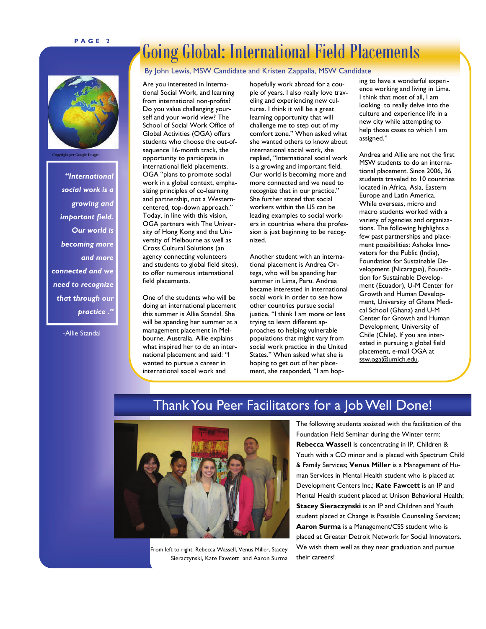

Copyright per Google Images

*"International social work is a growing and important field. Our world is becoming more and more connected and we need to recognize that through our practice ."* 

-Allie Standal

# Going Global: International Field Placements

#### By John Lewis, MSW Candidate and Kristen Zappalla, MSW Candidate

Are you interested in International Social Work, and learning from international non-profits? Do you value challenging yourself and your world view? The School of Social Work Office of Global Activities (OGA) offers students who choose the out-ofsequence 16-month track, the opportunity to participate in international field placements. OGA "plans to promote social work in a global context, emphasizing principles of co-learning and partnership, not a Westerncentered, top-down approach." Today, in line with this vision, OGA partners with [The Univer](http://www.hku.hk/index.html)[sity of Hong Kong](http://www.hku.hk/index.html) and the [Uni](http://www.socialwork.unimelb.edu.au/)[versity of Melbourne](http://www.socialwork.unimelb.edu.au/) as well as Cross Cultural Solutions (an agency connecting volunteers and students to global field sites), to offer numerous international field placements.

One of the students who will be doing an international placement this summer is Allie Standal. She will be spending her summer at a management placement in Melbourne, Australia. Allie explains what inspired her to do an international placement and said: "I wanted to pursue a career in international social work and

hopefully work abroad for a couple of years. I also really love traveling and experiencing new cultures. I think it will be a great learning opportunity that will challenge me to step out of my comfort zone." When asked what she wanted others to know about international social work, she replied, "International social work is a growing and important field. Our world is becoming more and more connected and we need to recognize that in our practice." She further stated that social workers within the US can be leading examples to social workers in countries where the profession is just beginning to be recognized.

Another student with an international placement is Andrea Ortega, who will be spending her summer in Lima, Peru. Andrea became interested in international social work in order to see how other countries pursue social justice. "I think I am more or less trying to learn different approaches to helping vulnerable populations that might vary from social work practice in the United States." When asked what she is hoping to get out of her placement, she responded, "I am hoping to have a wonderful experience working and living in Lima. I think that most of all, I am looking to really delve into the culture and experience life in a new city while attempting to help those cases to which I am assigned."

Andrea and Allie are not the first MSW students to do an international placement. Since 2006, 36 students traveled to 10 countries located in Africa, Asia, Eastern Europe and Latin America. While overseas, micro and macro students worked with a variety of agencies and organizations. The following highlights a few past partnerships and placement possibilities: Ashoka Innovators for the Public (India), Foundation for Sustainable Development (Nicaragua), Foundation for Sustainable Development (Ecuador), U-M Center for Growth and Human Development, University of Ghana Medical School (Ghana) and U-M Center for Growth and Human Development, University of Chile (Chile). If you are interested in pursuing a global field placement, e-mail OGA at ssw.oga@umich.edu.

### Thank You Peer Facilitators for a Job Well Done!



From left to right: Rebecca Wassell, Venus Miller, Stacey Sieraczynski, Kate Fawcett and Aaron Surma

The following students assisted with the facilitation of the Foundation Field Seminar during the Winter term: **Rebecca Wassell** is concentrating in IP, Children & Youth with a CO minor and is placed with Spectrum Child & Family Services; **Venus Miller** is a Management of Human Services in Mental Health student who is placed at Development Centers Inc.; **Kate Fawcett** is an IP and Mental Health student placed at Unison Behavioral Health; **Stacey Sieraczynski** is an IP and Children and Youth student placed at Change is Possible Counseling Services; **Aaron Surma** is a Management/CSS student who is placed at Greater Detroit Network for Social Innovators. We wish them well as they near graduation and pursue their careers!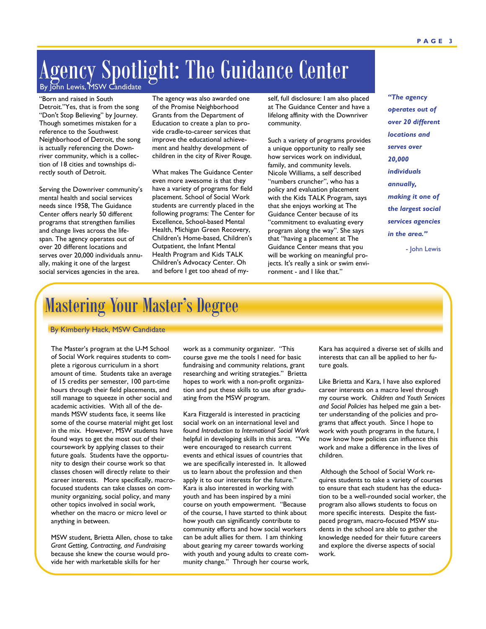# Agency Spotlight: The Guidance Center

By John Lewis, MSW Candidate

"Born and raised in South Detroit."Yes, that is from the song "Don't Stop Believing" by Journey. Though sometimes mistaken for a reference to the Southwest Neighborhood of Detroit, the song is actually referencing the Downriver community, which is a collection of 18 cities and townships directly south of Detroit.

Serving the Downriver community's mental health and social services needs since 1958, The Guidance Center offers nearly 50 different programs that strengthen families and change lives across the lifespan. The agency operates out of over 20 different locations and serves over 20,000 individuals annually, making it one of the largest social services agencies in the area.

The agency was also awarded one of the Promise Neighborhood Grants from the Department of Education to create a plan to provide cradle-to-career services that improve the educational achievement and healthy development of children in the city of River Rouge.

What makes The Guidance Center even more awesome is that they have a variety of programs for field placement. School of Social Work students are currently placed in the following programs: The Center for Excellence, School-based Mental Health, Michigan Green Recovery, Children's Home-based, Children's Outpatient, the Infant Mental Health Program and Kids TALK Children's Advocacy Center. Oh and before I get too ahead of myself, full disclosure: I am also placed at The Guidance Center and have a lifelong affinity with the Downriver community.

Such a variety of programs provides a unique opportunity to really see how services work on individual, family, and community levels. Nicole Williams, a self described "numbers cruncher", who has a policy and evaluation placement with the Kids TALK Program, says that she enjoys working at The Guidance Center because of its "commitment to evaluating every program along the way". She says that "having a placement at The Guidance Center means that you will be working on meaningful projects. It's really a sink or swim environment - and I like that."

*"The agency operates out of over 20 different locations and serves over 20,000 individuals annually, making it one of the largest social services agencies in the area."* 

- John Lewis

# Mastering Your Master's Degree

#### By Kimberly Hack, MSW Candidate

The Master's program at the U-M School of Social Work requires students to complete a rigorous curriculum in a short amount of time. Students take an average of 15 credits per semester, 100 part-time hours through their field placements, and still manage to squeeze in other social and academic activities. With all of the demands MSW students face, it seems like some of the course material might get lost in the mix. However, MSW students have found ways to get the most out of their coursework by applying classes to their future goals. Students have the opportunity to design their course work so that classes chosen will directly relate to their career interests. More specifically, macrofocused students can take classes on community organizing, social policy, and many other topics involved in social work, whether on the macro or micro level or anything in between.

MSW student, Brietta Allen, chose to take *Grant Getting, Contracting, and Fundraising*  because she knew the course would provide her with marketable skills for her

work as a community organizer. "This course gave me the tools I need for basic fundraising and community relations, grant researching and writing strategies." Brietta hopes to work with a non-profit organization and put these skills to use after graduating from the MSW program.

Kara Fitzgerald is interested in practicing social work on an international level and found *Introduction to International Social Work* helpful in developing skills in this area. "We were encouraged to research current events and ethical issues of countries that we are specifically interested in. It allowed us to learn about the profession and then apply it to our interests for the future." Kara is also interested in working with youth and has been inspired by a mini course on youth empowerment. "Because of the course, I have started to think about how youth can significantly contribute to community efforts and how social workers can be adult allies for them. I am thinking about gearing my career towards working with youth and young adults to create community change." Through her course work,

Kara has acquired a diverse set of skills and interests that can all be applied to her future goals.

Like Brietta and Kara, I have also explored career interests on a macro level through my course work. *Children and Youth Services and Social Policies* has helped me gain a better understanding of the policies and programs that affect youth. Since I hope to work with youth programs in the future, I now know how policies can influence this work and make a difference in the lives of children.

 Although the School of Social Work requires students to take a variety of courses to ensure that each student has the education to be a well-rounded social worker, the program also allows students to focus on more specific interests. Despite the fastpaced program, macro-focused MSW students in the school are able to gather the knowledge needed for their future careers and explore the diverse aspects of social work.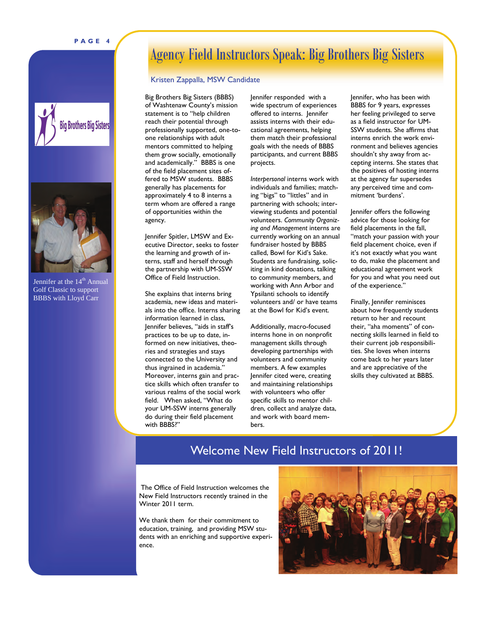#### **PAGE 4**





Jennifer at the 14<sup>th</sup> Annual Golf Classic to support BBBS with Lloyd Carr

### Agency Field Instructors Speak: Big Brothers Big Sisters

#### Kristen Zappalla, MSW Candidate

Big Brothers Big Sisters (BBBS) of Washtenaw County's mission statement is to "help children reach their potential through professionally supported, one-toone relationships with adult mentors committed to helping them grow socially, emotionally and academically." BBBS is one of the field placement sites offered to MSW students. BBBS generally has placements for approximately 4 to 8 interns a term whom are offered a range of opportunities within the agency.

Jennifer Spitler, LMSW and Executive Director, seeks to foster the learning and growth of interns, staff and herself through the partnership with UM-SSW Office of Field Instruction.

She explains that interns bring academia, new ideas and materials into the office. Interns sharing information learned in class, Jennifer believes, "aids in staff's practices to be up to date, informed on new initiatives, theories and strategies and stays connected to the University and thus ingrained in academia." Moreover, interns gain and practice skills which often transfer to various realms of the social work field. When asked, "What do your UM-SSW interns generally do during their field placement with BBBS?"

Jennifer responded with a wide spectrum of experiences offered to interns. Jennifer assists interns with their educational agreements, helping them match their professional goals with the needs of BBBS participants, and current BBBS projects.

*Interpersonal* interns work with individuals and families; matching "bigs" to "littles" and in partnering with schools; interviewing students and potential volunteers. *Community Organizing and Management* interns are currently working on an annual fundraiser hosted by BBBS called, Bowl for Kid's Sake. Students are fundraising, soliciting in kind donations, talking to community members, and working with Ann Arbor and Ypsilanti schools to identify volunteers and/ or have teams at the Bowl for Kid's event.

Additionally, macro-focused interns hone in on nonprofit management skills through developing partnerships with volunteers and community members. A few examples Jennifer cited were, creating and maintaining relationships with volunteers who offer specific skills to mentor children, collect and analyze data, and work with board members.

Jennifer, who has been with BBBS for 9 years, expresses her feeling privileged to serve as a field instructor for UM-SSW students. She affirms that interns enrich the work environment and believes agencies shouldn't shy away from accepting interns. She states that the positives of hosting interns at the agency far supersedes any perceived time and commitment 'burdens'.

Jennifer offers the following advice for those looking for field placements in the fall, "match your passion with your field placement choice, even if it's not exactly what you want to do, make the placement and educational agreement work for you and what you need out of the experience."

Finally, Jennifer reminisces about how frequently students return to her and recount their, "aha moments" of connecting skills learned in field to their current job responsibilities. She loves when interns come back to her years later and are appreciative of the skills they cultivated at BBBS.

### Welcome New Field Instructors of 2011!

The Office of Field Instruction welcomes the New Field Instructors recently trained in the Winter 2011 term.

We thank them for their commitment to education, training, and providing MSW students with an enriching and supportive experience.

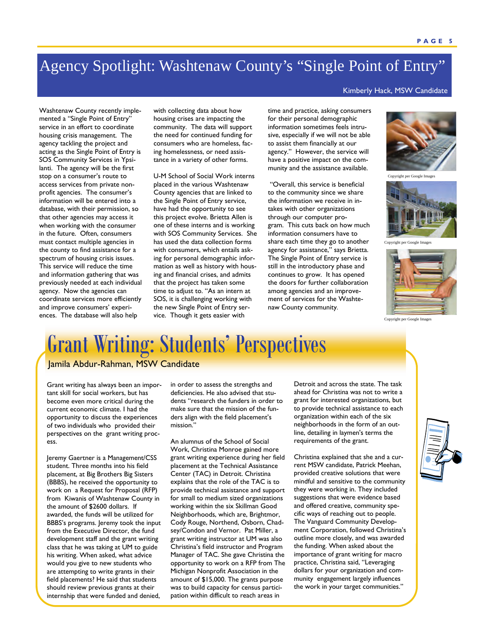## Agency Spotlight: Washtenaw County's "Single Point of Entry"

#### Kimberly Hack, MSW Candidate

Washtenaw County recently implemented a "Single Point of Entry" service in an effort to coordinate housing crisis management. The agency tackling the project and acting as the Single Point of Entry is SOS Community Services in Ypsilanti. The agency will be the first stop on a consumer's route to access services from private nonprofit agencies. The consumer's information will be entered into a database, with their permission, so that other agencies may access it when working with the consumer in the future. Often, consumers must contact multiple agencies in the county to find assistance for a spectrum of housing crisis issues. This service will reduce the time and information gathering that was previously needed at each individual agency. Now the agencies can coordinate services more efficiently and improve consumers' experiences. The database will also help

with collecting data about how housing crises are impacting the community. The data will support the need for continued funding for consumers who are homeless, facing homelessness, or need assistance in a variety of other forms.

U-M School of Social Work interns placed in the various Washtenaw County agencies that are linked to the Single Point of Entry service, have had the opportunity to see this project evolve. Brietta Allen is one of these interns and is working with SOS Community Services. She has used the data collection forms with consumers, which entails asking for personal demographic information as well as history with housing and financial crises, and admits that the project has taken some time to adjust to. "As an intern at SOS, it is challenging working with the new Single Point of Entry service. Though it gets easier with

time and practice, asking consumers for their personal demographic information sometimes feels intrusive, especially if we will not be able to assist them financially at our agency." However, the service will have a positive impact on the community and the assistance available.

 "Overall, this service is beneficial to the community since we share the information we receive in intakes with other organizations through our computer program. This cuts back on how much information consumers have to share each time they go to another agency for assistance," says Brietta. The Single Point of Entry service is still in the introductory phase and continues to grow. It has opened the doors for further collaboration among agencies and an improvement of services for the Washtenaw County community.



Copyright per Google Image



Copyright per Google Images



Copyright per Google Image

# Grant Writing: Students' Perspectives

#### Jamila Abdur-Rahman, MSW Candidate

Grant writing has always been an important skill for social workers, but has become even more critical during the current economic climate. I had the opportunity to discuss the experiences of two individuals who provided their perspectives on the grant writing process.

Jeremy Gaertner is a Management/CSS student. Three months into his field placement, at Big Brothers Big Sisters (BBBS), he received the opportunity to work on a Request for Proposal (RFP) from Kiwanis of Washtenaw County in the amount of \$2600 dollars. If awarded, the funds will be utilized for BBBS's programs. Jeremy took the input from the Executive Director, the fund development staff and the grant writing class that he was taking at UM to guide his writing. When asked, what advice would you give to new students who are attempting to write grants in their field placements? He said that students should review previous grants at their internship that were funded and denied,

in order to assess the strengths and deficiencies. He also advised that students "research the funders in order to make sure that the mission of the funders align with the field placement's mission."

An alumnus of the School of Social Work, Christina Monroe gained more grant writing experience during her field placement at the Technical Assistance Center (TAC) in Detroit. Christina explains that the role of the TAC is to provide technical assistance and support for small to medium sized organizations working within the six Skillman Good Neighborhoods, which are, Brightmor, Cody Rouge, Northend, Osborn, Chadsey/Condon and Vernor. Pat Miller, a grant writing instructor at UM was also Christina's field instructor and Program Manager of TAC. She gave Christina the opportunity to work on a RFP from The Michigan Nonprofit Association in the amount of \$15,000. The grants purpose was to build capacity for census participation within difficult to reach areas in

Detroit and across the state. The task ahead for Christina was not to write a grant for interested organizations, but to provide technical assistance to each organization within each of the six neighborhoods in the form of an outline, detailing in laymen's terms the requirements of the grant.

Christina explained that she and a current MSW candidate, Patrick Meehan, provided creative solutions that were mindful and sensitive to the community they were working in. They included suggestions that were evidence based and offered creative, community specific ways of reaching out to people. The Vanguard Community Development Corporation, followed Christina's outline more closely, and was awarded the funding. When asked about the importance of grant writing for macro practice, Christina said, "Leveraging dollars for your organization and community engagement largely influences the work in your target communities."

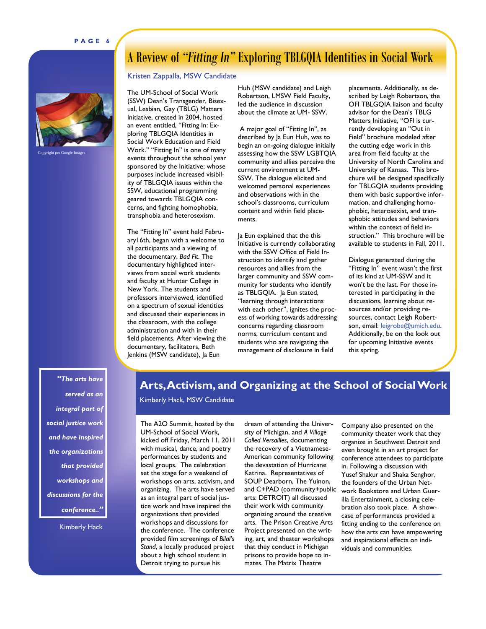#### **PAGE 6**



Copyright per Google Images

### A Review of *"Fitting In"* Exploring TBLGQIA Identities in Social Work

#### Kristen Zappalla, MSW Candidate

The UM-School of Social Work (SSW) Dean's Transgender, Bisexual, Lesbian, Gay (TBLG) Matters Initiative, created in 2004, hosted an event entitled, "Fitting In: Exploring TBLGQIA Identities in Social Work Education and Field Work." "Fitting In" is one of many events throughout the school year sponsored by the Initiative; whose purposes include increased visibility of TBLGQIA issues within the SSW, educational programming geared towards TBLGQIA concerns, and fighting homophobia, transphobia and heterosexism.

The "Fitting In" event held February16th, began with a welcome to all participants and a viewing of the documentary, *Bad Fit*. The documentary highlighted interviews from social work students and faculty at Hunter College in New York. The students and professors interviewed, identified on a spectrum of sexual identities and discussed their experiences in the classroom, with the college administration and with in their field placements. After viewing the documentary, facilitators, Beth Jenkins (MSW candidate), Ja Eun

Huh (MSW candidate) and Leigh Robertson, LMSW Field Faculty, led the audience in discussion about the climate at UM- SSW.

 A major goal of "Fitting In", as described by Ja Eun Huh, was to begin an on-going dialogue initially assessing how the SSW LGBTQIA community and allies perceive the current environment at UM-SSW. The dialogue elicited and welcomed personal experiences and observations with in the school's classrooms, curriculum content and within field placements.

Ja Eun explained that the this Initiative is currently collaborating with the SSW Office of Field Instruction to identify and gather resources and allies from the larger community and SSW community for students who identify as TBLGQIA. Ja Eun stated, "learning through interactions with each other", ignites the process of working towards addressing concerns regarding classroom norms, curriculum content and students who are navigating the management of disclosure in field

placements. Additionally, as described by [Leigh Robertson](http://www.ssw.umich.edu/contact/directory/profile-leigrobe.html), the OFI TBLGQIA liaison and faculty advisor for the Dean's TBLG Matters Initiative, "OFI is currently developing an "Out in Field" brochure modeled after the cutting edge work in this area from field faculty at the University of North Carolina and University of Kansas. This brochure will be designed specifically for TBLGQIA students providing them with basic supportive information, and challenging homophobic, heterosexist, and transphobic attitudes and behaviors within the context of field instruction." This brochure will be available to students in Fall, 2011.

Dialogue generated during the "Fitting In" event wasn't the first of its kind at UM-SSW and it won't be the last. For those interested in participating in the discussions, learning about resources and/or providing resources, contact Leigh Robertson, email: [leigrobe@umich.edu](mailto:leigrobe@umich.edu). Additionally, be on the look out for upcoming Initiative events this spring.

*"The arts have served as an integral part of social justice work and have inspired the organizations that provided workshops and discussions for the conference.."* 

Kimberly Hack

#### **Arts, Activism, and Organizing at the School of Social Work**

Kimberly Hack, MSW Candidate

The A2O Summit, hosted by the UM-School of Social Work, kicked off Friday, March 11, 2011 with musical, dance, and poetry performances by students and local groups. The celebration set the stage for a weekend of workshops on arts, activism, and organizing. The arts have served as an integral part of social justice work and have inspired the organizations that provided workshops and discussions for the conference. The conference provided film screenings of *Bilal's Stand*, a locally produced project about a high school student in Detroit trying to pursue his

dream of attending the University of Michigan, and *A Village Called Versailles*, documenting the recovery of a Vietnamese-American community following the devastation of Hurricane Katrina. Representatives of SOUP Dearborn, The Yuinon, and C+PAD (community+public arts: DETROIT) all discussed their work with community organizing around the creative arts. The Prison Creative Arts Project presented on the writing, art, and theater workshops that they conduct in Michigan prisons to provide hope to inmates. The Matrix Theatre

Company also presented on the community theater work that they organize in Southwest Detroit and even brought in an art project for conference attendees to participate in. Following a discussion with Yusef Shakur and Shaka Senghor, the founders of the Urban Network Bookstore and Urban Guerilla Entertainment, a closing celebration also took place. A showcase of performances provided a fitting ending to the conference on how the arts can have empowering and inspirational effects on individuals and communities.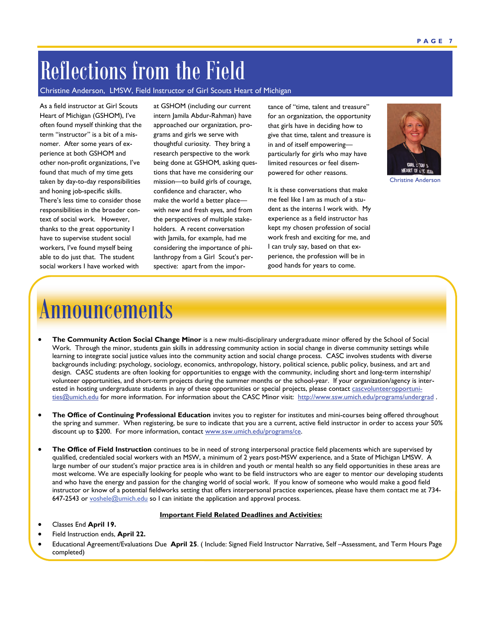# Reflections from the Field

Christine Anderson, LMSW, Field Instructor of Girl Scouts Heart of Michigan

As a field instructor at Girl Scouts Heart of Michigan (GSHOM), I've often found myself thinking that the term "instructor" is a bit of a misnomer. After some years of experience at both GSHOM and other non-profit organizations, I've found that much of my time gets taken by day-to-day responsibilities and honing job-specific skills. There's less time to consider those responsibilities in the broader context of social work. However, thanks to the great opportunity I have to supervise student social workers, I've found myself being able to do just that. The student social workers I have worked with

at GSHOM (including our current intern Jamila Abdur-Rahman) have approached our organization, programs and girls we serve with thoughtful curiosity. They bring a research perspective to the work being done at GSHOM, asking questions that have me considering our mission—to build girls of courage, confidence and character, who make the world a better place with new and fresh eyes, and from the perspectives of multiple stakeholders. A recent conversation with Jamila, for example, had me considering the importance of philanthropy from a Girl Scout's perspective: apart from the importance of "time, talent and treasure" for an organization, the opportunity that girls have in deciding how to give that time, talent and treasure is in and of itself empowering particularly for girls who may have limited resources or feel disempowered for other reasons.

It is these conversations that make me feel like I am as much of a student as the interns I work with. My experience as a field instructor has kept my chosen profession of social work fresh and exciting for me, and I can truly say, based on that experience, the profession will be in good hands for years to come.



Christine Anderson

# **Announcements**

- **The Community Action Social Change Minor** is a new multi-disciplinary undergraduate minor offered by the School of Social Work. Through the minor, students gain skills in addressing community action in social change in diverse community settings while learning to integrate social justice values into the community action and social change process. CASC involves students with diverse backgrounds including: psychology, sociology, economics, anthropology, history, political science, public policy, business, and art and design. CASC students are often looking for opportunities to engage with the community, including short and long-term internship/ volunteer opportunities, and short-term projects during the summer months or the school-year. If your organization/agency is interested in hosting undergraduate students in any of these opportunities or special projects, please contact [cascvolunteeropportuni](mailto:cascvolunteeropportunities@umich.edu)[ties@umich.edu](mailto:cascvolunteeropportunities@umich.edu) for more information. For information about the CASC Minor visit: <http://www.ssw.umich.edu/programs/undergrad>.
- **The Office of Continuing Professional Education** invites you to register for institutes and mini-courses being offered throughout the spring and summer. When registering, be sure to indicate that you are a current, active field instructor in order to access your 50% discount up to \$200. For more information, contact [www.ssw.umich.edu/programs/ce](http://www.ssw.umich.edu/programs/ce).
- **The Office of Field Instruction** continues to be in need of strong interpersonal practice field placements which are supervised by qualified, credentialed social workers with an MSW, a minimum of 2 years post-MSW experience, and a State of Michigan LMSW. A large number of our student's major practice area is in children and youth or mental health so any field opportunities in these areas are most welcome. We are especially looking for people who want to be field instructors who are eager to mentor our developing students and who have the energy and passion for the changing world of social work. If you know of someone who would make a good field instructor or know of a potential fieldworks setting that offers interpersonal practice experiences, please have them contact me at 734 647-2543 or [voshele@umich.edu](mailto:voshele@umich.edu) so I can initiate the application and approval process.

#### **Important Field Related Deadlines and Activities:**

- Classes End **April 19.**
- Field Instruction ends, **April 22.**
- Educational Agreement/Evaluations Due **April 25**. ( Include: Signed Field Instructor Narrative, Self –Assessment, and Term Hours Page completed)